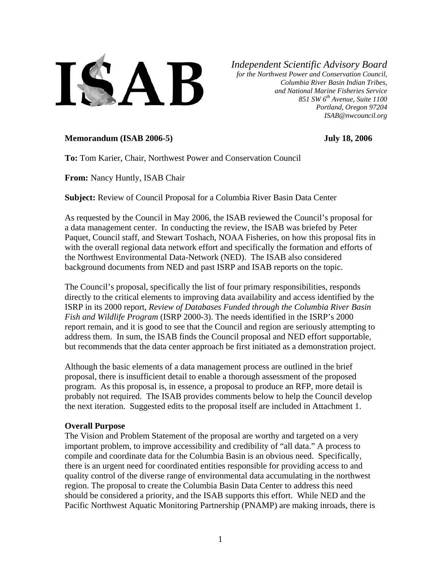

*Independent Scientific Advisory Board for the Northwest Power and Conservation Council, Columbia River Basin Indian Tribes, and National Marine Fisheries Service 851 SW 6th Avenue, Suite 1100 Portland, Oregon 97204 ISAB@nwcouncil.org*

#### **Memorandum (ISAB 2006-5) July 18, 2006**

**To:** Tom Karier, Chair, Northwest Power and Conservation Council

**From:** Nancy Huntly, ISAB Chair

**Subject:** Review of Council Proposal for a Columbia River Basin Data Center

As requested by the Council in May 2006, the ISAB reviewed the Council's proposal for a data management center. In conducting the review, the ISAB was briefed by Peter Paquet, Council staff, and Stewart Toshach, NOAA Fisheries, on how this proposal fits in with the overall regional data network effort and specifically the formation and efforts of the Northwest Environmental Data-Network (NED). The ISAB also considered background documents from NED and past ISRP and ISAB reports on the topic.

The Council's proposal, specifically the list of four primary responsibilities, responds directly to the critical elements to improving data availability and access identified by the ISRP in its 2000 report, *Review of Databases Funded through the Columbia River Basin Fish and Wildlife Program* (ISRP 2000-3). The needs identified in the ISRP's 2000 report remain, and it is good to see that the Council and region are seriously attempting to address them. In sum, the ISAB finds the Council proposal and NED effort supportable, but recommends that the data center approach be first initiated as a demonstration project.

Although the basic elements of a data management process are outlined in the brief proposal, there is insufficient detail to enable a thorough assessment of the proposed program. As this proposal is, in essence, a proposal to produce an RFP, more detail is probably not required. The ISAB provides comments below to help the Council develop the next iteration. Suggested edits to the proposal itself are included in Attachment 1.

#### **Overall Purpose**

The Vision and Problem Statement of the proposal are worthy and targeted on a very important problem, to improve accessibility and credibility of "all data." A process to compile and coordinate data for the Columbia Basin is an obvious need. Specifically, there is an urgent need for coordinated entities responsible for providing access to and quality control of the diverse range of environmental data accumulating in the northwest region. The proposal to create the Columbia Basin Data Center to address this need should be considered a priority, and the ISAB supports this effort. While NED and the Pacific Northwest Aquatic Monitoring Partnership (PNAMP) are making inroads, there is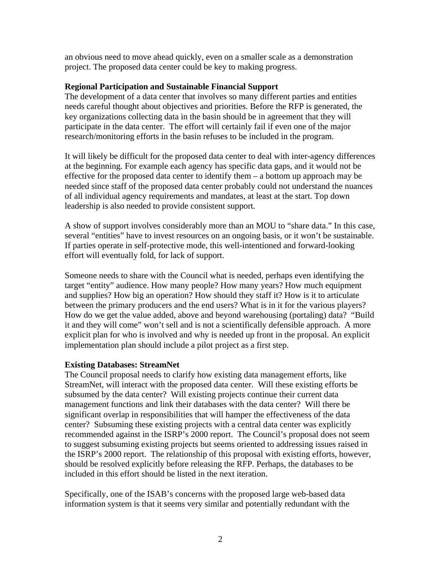an obvious need to move ahead quickly, even on a smaller scale as a demonstration project. The proposed data center could be key to making progress.

#### **Regional Participation and Sustainable Financial Support**

The development of a data center that involves so many different parties and entities needs careful thought about objectives and priorities. Before the RFP is generated, the key organizations collecting data in the basin should be in agreement that they will participate in the data center. The effort will certainly fail if even one of the major research/monitoring efforts in the basin refuses to be included in the program.

It will likely be difficult for the proposed data center to deal with inter-agency differences at the beginning. For example each agency has specific data gaps, and it would not be effective for the proposed data center to identify them – a bottom up approach may be needed since staff of the proposed data center probably could not understand the nuances of all individual agency requirements and mandates, at least at the start. Top down leadership is also needed to provide consistent support.

A show of support involves considerably more than an MOU to "share data." In this case, several "entities" have to invest resources on an ongoing basis, or it won't be sustainable. If parties operate in self-protective mode, this well-intentioned and forward-looking effort will eventually fold, for lack of support.

Someone needs to share with the Council what is needed, perhaps even identifying the target "entity" audience. How many people? How many years? How much equipment and supplies? How big an operation? How should they staff it? How is it to articulate between the primary producers and the end users? What is in it for the various players? How do we get the value added, above and beyond warehousing (portaling) data? "Build it and they will come" won't sell and is not a scientifically defensible approach.A more explicit plan for who is involved and why is needed up front in the proposal. An explicit implementation plan should include a pilot project as a first step.

#### **Existing Databases: StreamNet**

The Council proposal needs to clarify how existing data management efforts, like StreamNet, will interact with the proposed data center. Will these existing efforts be subsumed by the data center? Will existing projects continue their current data management functions and link their databases with the data center? Will there be significant overlap in responsibilities that will hamper the effectiveness of the data center? Subsuming these existing projects with a central data center was explicitly recommended against in the ISRP's 2000 report. The Council's proposal does not seem to suggest subsuming existing projects but seems oriented to addressing issues raised in the ISRP's 2000 report. The relationship of this proposal with existing efforts, however, should be resolved explicitly before releasing the RFP. Perhaps, the databases to be included in this effort should be listed in the next iteration.

Specifically, one of the ISAB's concerns with the proposed large web-based data information system is that it seems very similar and potentially redundant with the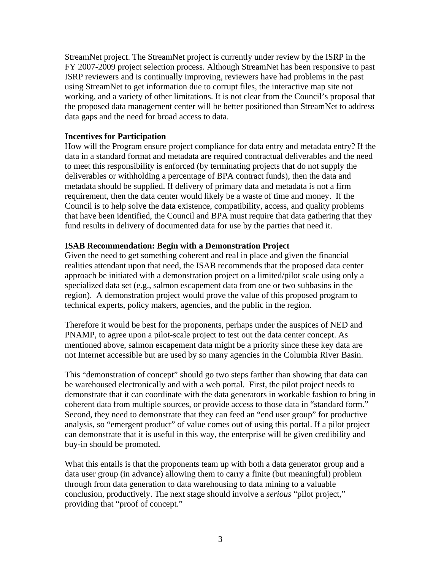StreamNet project. The StreamNet project is currently under review by the ISRP in the FY 2007-2009 project selection process. Although StreamNet has been responsive to past ISRP reviewers and is continually improving, reviewers have had problems in the past using StreamNet to get information due to corrupt files, the interactive map site not working, and a variety of other limitations. It is not clear from the Council's proposal that the proposed data management center will be better positioned than StreamNet to address data gaps and the need for broad access to data.

#### **Incentives for Participation**

How will the Program ensure project compliance for data entry and metadata entry? If the data in a standard format and metadata are required contractual deliverables and the need to meet this responsibility is enforced (by terminating projects that do not supply the deliverables or withholding a percentage of BPA contract funds), then the data and metadata should be supplied. If delivery of primary data and metadata is not a firm requirement, then the data center would likely be a waste of time and money. If the Council is to help solve the data existence, compatibility, access, and quality problems that have been identified, the Council and BPA must require that data gathering that they fund results in delivery of documented data for use by the parties that need it.

#### **ISAB Recommendation: Begin with a Demonstration Project**

Given the need to get something coherent and real in place and given the financial realities attendant upon that need, the ISAB recommends that the proposed data center approach be initiated with a demonstration project on a limited/pilot scale using only a specialized data set (e.g., salmon escapement data from one or two subbasins in the region). A demonstration project would prove the value of this proposed program to technical experts, policy makers, agencies, and the public in the region.

Therefore it would be best for the proponents, perhaps under the auspices of NED and PNAMP, to agree upon a pilot-scale project to test out the data center concept. As mentioned above, salmon escapement data might be a priority since these key data are not Internet accessible but are used by so many agencies in the Columbia River Basin.

This "demonstration of concept" should go two steps farther than showing that data can be warehoused electronically and with a web portal. First, the pilot project needs to demonstrate that it can coordinate with the data generators in workable fashion to bring in coherent data from multiple sources, or provide access to those data in "standard form." Second, they need to demonstrate that they can feed an "end user group" for productive analysis, so "emergent product" of value comes out of using this portal. If a pilot project can demonstrate that it is useful in this way, the enterprise will be given credibility and buy-in should be promoted.

What this entails is that the proponents team up with both a data generator group and a data user group (in advance) allowing them to carry a finite (but meaningful) problem through from data generation to data warehousing to data mining to a valuable conclusion, productively. The next stage should involve a *serious* "pilot project," providing that "proof of concept."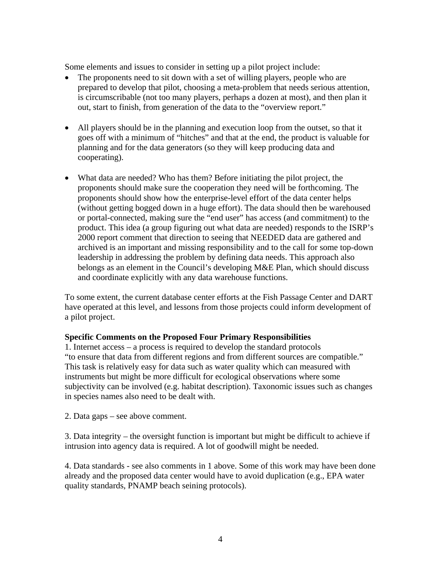Some elements and issues to consider in setting up a pilot project include:

- The proponents need to sit down with a set of willing players, people who are prepared to develop that pilot, choosing a meta-problem that needs serious attention, is circumscribable (not too many players, perhaps a dozen at most), and then plan it out, start to finish, from generation of the data to the "overview report."
- All players should be in the planning and execution loop from the outset, so that it goes off with a minimum of "hitches" and that at the end, the product is valuable for planning and for the data generators (so they will keep producing data and cooperating).
- What data are needed? Who has them? Before initiating the pilot project, the proponents should make sure the cooperation they need will be forthcoming. The proponents should show how the enterprise-level effort of the data center helps (without getting bogged down in a huge effort). The data should then be warehoused or portal-connected, making sure the "end user" has access (and commitment) to the product. This idea (a group figuring out what data are needed) responds to the ISRP's 2000 report comment that direction to seeing that NEEDED data are gathered and archived is an important and missing responsibility and to the call for some top-down leadership in addressing the problem by defining data needs. This approach also belongs as an element in the Council's developing M&E Plan, which should discuss and coordinate explicitly with any data warehouse functions.

To some extent, the current database center efforts at the Fish Passage Center and DART have operated at this level, and lessons from those projects could inform development of a pilot project.

#### **Specific Comments on the Proposed Four Primary Responsibilities**

1. Internet access – a process is required to develop the standard protocols "to ensure that data from different regions and from different sources are compatible." This task is relatively easy for data such as water quality which can measured with instruments but might be more difficult for ecological observations where some subjectivity can be involved (e.g. habitat description). Taxonomic issues such as changes in species names also need to be dealt with.

2. Data gaps – see above comment.

3. Data integrity – the oversight function is important but might be difficult to achieve if intrusion into agency data is required. A lot of goodwill might be needed.

4. Data standards - see also comments in 1 above. Some of this work may have been done already and the proposed data center would have to avoid duplication (e.g., EPA water quality standards, PNAMP beach seining protocols).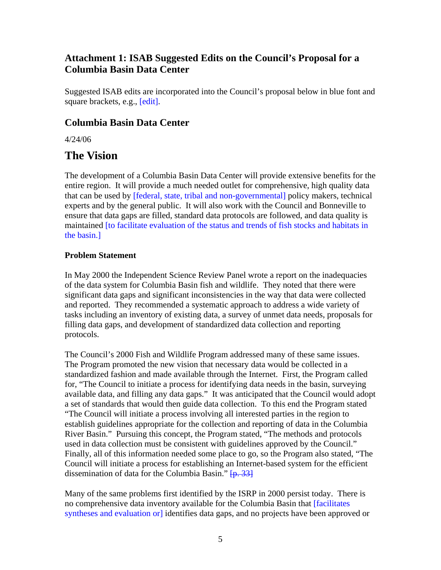## **Attachment 1: ISAB Suggested Edits on the Council's Proposal for a Columbia Basin Data Center**

Suggested ISAB edits are incorporated into the Council's proposal below in blue font and square brackets, e.g., [edit].

## **Columbia Basin Data Center**

4/24/06

# **The Vision**

The development of a Columbia Basin Data Center will provide extensive benefits for the entire region. It will provide a much needed outlet for comprehensive, high quality data that can be used by [federal, state, tribal and non-governmental] policy makers, technical experts and by the general public. It will also work with the Council and Bonneville to ensure that data gaps are filled, standard data protocols are followed, and data quality is maintained [to facilitate evaluation of the status and trends of fish stocks and habitats in the basin.]

### **Problem Statement**

In May 2000 the Independent Science Review Panel wrote a report on the inadequacies of the data system for Columbia Basin fish and wildlife. They noted that there were significant data gaps and significant inconsistencies in the way that data were collected and reported. They recommended a systematic approach to address a wide variety of tasks including an inventory of existing data, a survey of unmet data needs, proposals for filling data gaps, and development of standardized data collection and reporting protocols.

The Council's 2000 Fish and Wildlife Program addressed many of these same issues. The Program promoted the new vision that necessary data would be collected in a standardized fashion and made available through the Internet. First, the Program called for, "The Council to initiate a process for identifying data needs in the basin, surveying available data, and filling any data gaps." It was anticipated that the Council would adopt a set of standards that would then guide data collection. To this end the Program stated "The Council will initiate a process involving all interested parties in the region to establish guidelines appropriate for the collection and reporting of data in the Columbia River Basin." Pursuing this concept, the Program stated, "The methods and protocols used in data collection must be consistent with guidelines approved by the Council." Finally, all of this information needed some place to go, so the Program also stated, "The Council will initiate a process for establishing an Internet-based system for the efficient dissemination of data for the Columbia Basin."  $[p, 33]$ 

Many of the same problems first identified by the ISRP in 2000 persist today. There is no comprehensive data inventory available for the Columbia Basin that [facilitates syntheses and evaluation or] identifies data gaps, and no projects have been approved or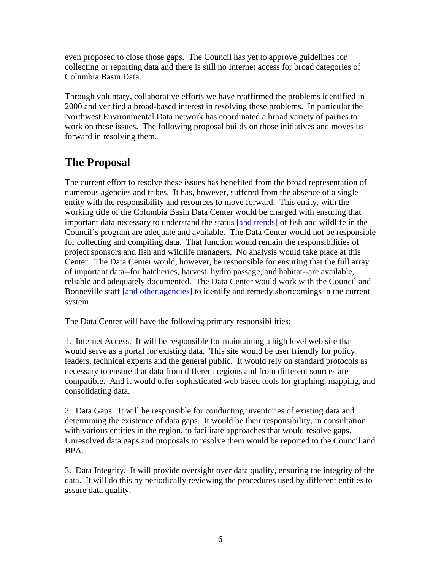even proposed to close those gaps. The Council has yet to approve guidelines for collecting or reporting data and there is still no Internet access for broad categories of Columbia Basin Data.

Through voluntary, collaborative efforts we have reaffirmed the problems identified in 2000 and verified a broad-based interest in resolving these problems. In particular the Northwest Environmental Data network has coordinated a broad variety of parties to work on these issues. The following proposal builds on those initiatives and moves us forward in resolving them.

# **The Proposal**

The current effort to resolve these issues has benefited from the broad representation of numerous agencies and tribes. It has, however, suffered from the absence of a single entity with the responsibility and resources to move forward. This entity, with the working title of the Columbia Basin Data Center would be charged with ensuring that important data necessary to understand the status [and trends] of fish and wildlife in the Council's program are adequate and available. The Data Center would not be responsible for collecting and compiling data. That function would remain the responsibilities of project sponsors and fish and wildlife managers. No analysis would take place at this Center. The Data Center would, however, be responsible for ensuring that the full array of important data--for hatcheries, harvest, hydro passage, and habitat--are available, reliable and adequately documented. The Data Center would work with the Council and Bonneville staff [and other agencies] to identify and remedy shortcomings in the current system.

The Data Center will have the following primary responsibilities:

1. Internet Access. It will be responsible for maintaining a high level web site that would serve as a portal for existing data. This site would be user friendly for policy leaders, technical experts and the general public. It would rely on standard protocols as necessary to ensure that data from different regions and from different sources are compatible. And it would offer sophisticated web based tools for graphing, mapping, and consolidating data.

2. Data Gaps. It will be responsible for conducting inventories of existing data and determining the existence of data gaps. It would be their responsibility, in consultation with various entities in the region, to facilitate approaches that would resolve gaps. Unresolved data gaps and proposals to resolve them would be reported to the Council and BPA.

3. Data Integrity. It will provide oversight over data quality, ensuring the integrity of the data. It will do this by periodically reviewing the procedures used by different entities to assure data quality.